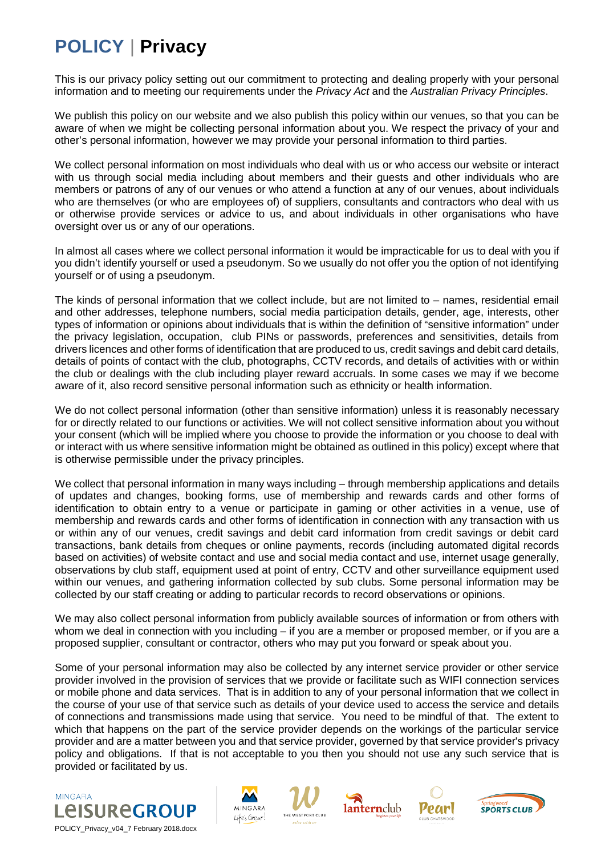## **POLICY** | **Privacy**

This is our privacy policy setting out our commitment to protecting and dealing properly with your personal information and to meeting our requirements under the *Privacy Act* and the *Australian Privacy Principles*.

We publish this policy on our website and we also publish this policy within our venues, so that you can be aware of when we might be collecting personal information about you. We respect the privacy of your and other's personal information, however we may provide your personal information to third parties.

We collect personal information on most individuals who deal with us or who access our website or interact with us through social media including about members and their guests and other individuals who are members or patrons of any of our venues or who attend a function at any of our venues, about individuals who are themselves (or who are employees of) of suppliers, consultants and contractors who deal with us or otherwise provide services or advice to us, and about individuals in other organisations who have oversight over us or any of our operations.

In almost all cases where we collect personal information it would be impracticable for us to deal with you if you didn't identify yourself or used a pseudonym. So we usually do not offer you the option of not identifying yourself or of using a pseudonym.

The kinds of personal information that we collect include, but are not limited to – names, residential email and other addresses, telephone numbers, social media participation details, gender, age, interests, other types of information or opinions about individuals that is within the definition of "sensitive information" under the privacy legislation, occupation, club PINs or passwords, preferences and sensitivities, details from drivers licences and other forms of identification that are produced to us, credit savings and debit card details, details of points of contact with the club, photographs, CCTV records, and details of activities with or within the club or dealings with the club including player reward accruals. In some cases we may if we become aware of it, also record sensitive personal information such as ethnicity or health information.

We do not collect personal information (other than sensitive information) unless it is reasonably necessary for or directly related to our functions or activities. We will not collect sensitive information about you without your consent (which will be implied where you choose to provide the information or you choose to deal with or interact with us where sensitive information might be obtained as outlined in this policy) except where that is otherwise permissible under the privacy principles.

We collect that personal information in many ways including – through membership applications and details of updates and changes, booking forms, use of membership and rewards cards and other forms of identification to obtain entry to a venue or participate in gaming or other activities in a venue, use of membership and rewards cards and other forms of identification in connection with any transaction with us or within any of our venues, credit savings and debit card information from credit savings or debit card transactions, bank details from cheques or online payments, records (including automated digital records based on activities) of website contact and use and social media contact and use, internet usage generally, observations by club staff, equipment used at point of entry, CCTV and other surveillance equipment used within our venues, and gathering information collected by sub clubs. Some personal information may be collected by our staff creating or adding to particular records to record observations or opinions.

We may also collect personal information from publicly available sources of information or from others with whom we deal in connection with you including – if you are a member or proposed member, or if you are a proposed supplier, consultant or contractor, others who may put you forward or speak about you.

Some of your personal information may also be collected by any internet service provider or other service provider involved in the provision of services that we provide or facilitate such as WIFI connection services or mobile phone and data services. That is in addition to any of your personal information that we collect in the course of your use of that service such as details of your device used to access the service and details of connections and transmissions made using that service. You need to be mindful of that. The extent to which that happens on the part of the service provider depends on the workings of the particular service provider and are a matter between you and that service provider, governed by that service provider's privacy policy and obligations. If that is not acceptable to you then you should not use any such service that is provided or facilitated by us.











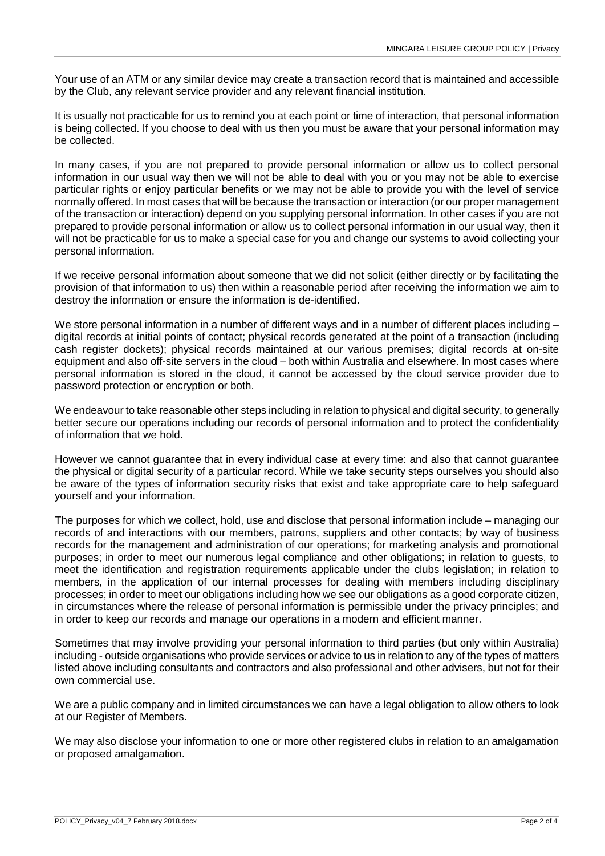Your use of an ATM or any similar device may create a transaction record that is maintained and accessible by the Club, any relevant service provider and any relevant financial institution.

It is usually not practicable for us to remind you at each point or time of interaction, that personal information is being collected. If you choose to deal with us then you must be aware that your personal information may be collected.

In many cases, if you are not prepared to provide personal information or allow us to collect personal information in our usual way then we will not be able to deal with you or you may not be able to exercise particular rights or enjoy particular benefits or we may not be able to provide you with the level of service normally offered. In most cases that will be because the transaction or interaction (or our proper management of the transaction or interaction) depend on you supplying personal information. In other cases if you are not prepared to provide personal information or allow us to collect personal information in our usual way, then it will not be practicable for us to make a special case for you and change our systems to avoid collecting your personal information.

If we receive personal information about someone that we did not solicit (either directly or by facilitating the provision of that information to us) then within a reasonable period after receiving the information we aim to destroy the information or ensure the information is de-identified.

We store personal information in a number of different ways and in a number of different places including – digital records at initial points of contact; physical records generated at the point of a transaction (including cash register dockets); physical records maintained at our various premises; digital records at on-site equipment and also off-site servers in the cloud – both within Australia and elsewhere. In most cases where personal information is stored in the cloud, it cannot be accessed by the cloud service provider due to password protection or encryption or both.

We endeavour to take reasonable other steps including in relation to physical and digital security, to generally better secure our operations including our records of personal information and to protect the confidentiality of information that we hold.

However we cannot guarantee that in every individual case at every time: and also that cannot guarantee the physical or digital security of a particular record. While we take security steps ourselves you should also be aware of the types of information security risks that exist and take appropriate care to help safeguard yourself and your information.

The purposes for which we collect, hold, use and disclose that personal information include – managing our records of and interactions with our members, patrons, suppliers and other contacts; by way of business records for the management and administration of our operations; for marketing analysis and promotional purposes; in order to meet our numerous legal compliance and other obligations; in relation to guests, to meet the identification and registration requirements applicable under the clubs legislation; in relation to members, in the application of our internal processes for dealing with members including disciplinary processes; in order to meet our obligations including how we see our obligations as a good corporate citizen, in circumstances where the release of personal information is permissible under the privacy principles; and in order to keep our records and manage our operations in a modern and efficient manner.

Sometimes that may involve providing your personal information to third parties (but only within Australia) including - outside organisations who provide services or advice to us in relation to any of the types of matters listed above including consultants and contractors and also professional and other advisers, but not for their own commercial use.

We are a public company and in limited circumstances we can have a legal obligation to allow others to look at our Register of Members.

We may also disclose your information to one or more other registered clubs in relation to an amalgamation or proposed amalgamation.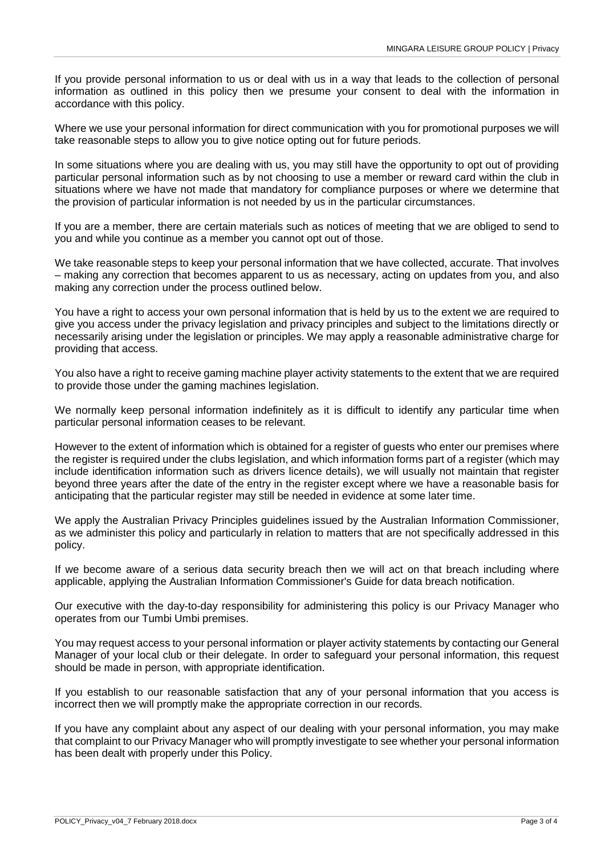If you provide personal information to us or deal with us in a way that leads to the collection of personal information as outlined in this policy then we presume your consent to deal with the information in accordance with this policy.

Where we use your personal information for direct communication with you for promotional purposes we will take reasonable steps to allow you to give notice opting out for future periods.

In some situations where you are dealing with us, you may still have the opportunity to opt out of providing particular personal information such as by not choosing to use a member or reward card within the club in situations where we have not made that mandatory for compliance purposes or where we determine that the provision of particular information is not needed by us in the particular circumstances.

If you are a member, there are certain materials such as notices of meeting that we are obliged to send to you and while you continue as a member you cannot opt out of those.

We take reasonable steps to keep your personal information that we have collected, accurate. That involves – making any correction that becomes apparent to us as necessary, acting on updates from you, and also making any correction under the process outlined below.

You have a right to access your own personal information that is held by us to the extent we are required to give you access under the privacy legislation and privacy principles and subject to the limitations directly or necessarily arising under the legislation or principles. We may apply a reasonable administrative charge for providing that access.

You also have a right to receive gaming machine player activity statements to the extent that we are required to provide those under the gaming machines legislation.

We normally keep personal information indefinitely as it is difficult to identify any particular time when particular personal information ceases to be relevant.

However to the extent of information which is obtained for a register of guests who enter our premises where the register is required under the clubs legislation, and which information forms part of a register (which may include identification information such as drivers licence details), we will usually not maintain that register beyond three years after the date of the entry in the register except where we have a reasonable basis for anticipating that the particular register may still be needed in evidence at some later time.

We apply the Australian Privacy Principles guidelines issued by the Australian Information Commissioner, as we administer this policy and particularly in relation to matters that are not specifically addressed in this policy.

If we become aware of a serious data security breach then we will act on that breach including where applicable, applying the Australian Information Commissioner's Guide for data breach notification.

Our executive with the day-to-day responsibility for administering this policy is our Privacy Manager who operates from our Tumbi Umbi premises.

You may request access to your personal information or player activity statements by contacting our General Manager of your local club or their delegate. In order to safeguard your personal information, this request should be made in person, with appropriate identification.

If you establish to our reasonable satisfaction that any of your personal information that you access is incorrect then we will promptly make the appropriate correction in our records.

If you have any complaint about any aspect of our dealing with your personal information, you may make that complaint to our Privacy Manager who will promptly investigate to see whether your personal information has been dealt with properly under this Policy.